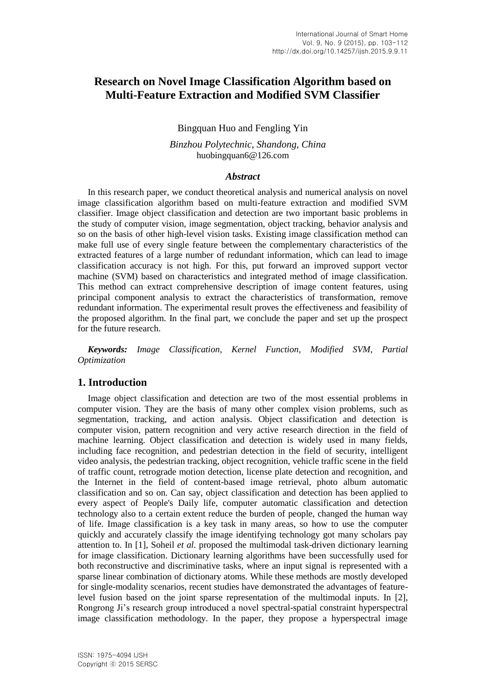# **Research on Novel Image Classification Algorithm based on Multi-Feature Extraction and Modified SVM Classifier**

# Bingquan Huo and Fengling Yin

## *Binzhou Polytechnic, Shandong, China* huobingquan6@126.com

### *Abstract*

In this research paper, we conduct theoretical analysis and numerical analysis on novel image classification algorithm based on multi-feature extraction and modified SVM classifier. Image object classification and detection are two important basic problems in the study of computer vision, image segmentation, object tracking, behavior analysis and so on the basis of other high-level vision tasks. Existing image classification method can make full use of every single feature between the complementary characteristics of the extracted features of a large number of redundant information, which can lead to image classification accuracy is not high. For this, put forward an improved support vector machine (SVM) based on characteristics and integrated method of image classification. This method can extract comprehensive description of image content features, using principal component analysis to extract the characteristics of transformation, remove redundant information. The experimental result proves the effectiveness and feasibility of the proposed algorithm. In the final part, we conclude the paper and set up the prospect for the future research.

*Keywords: Image Classification, Kernel Function, Modified SVM, Partial Optimization*

# **1. Introduction**

Image object classification and detection are two of the most essential problems in computer vision. They are the basis of many other complex vision problems, such as segmentation, tracking, and action analysis. Object classification and detection is computer vision, pattern recognition and very active research direction in the field of machine learning. Object classification and detection is widely used in many fields, including face recognition, and pedestrian detection in the field of security, intelligent video analysis, the pedestrian tracking, object recognition, vehicle traffic scene in the field of traffic count, retrograde motion detection, license plate detection and recognition, and the Internet in the field of content-based image retrieval, photo album automatic classification and so on. Can say, object classification and detection has been applied to every aspect of People's Daily life, computer automatic classification and detection technology also to a certain extent reduce the burden of people, changed the human way of life. Image classification is a key task in many areas, so how to use the computer quickly and accurately classify the image identifying technology got many scholars pay attention to. In [1], Soheil *et al.* proposed the multimodal task-driven dictionary learning for image classification. Dictionary learning algorithms have been successfully used for both reconstructive and discriminative tasks, where an input signal is represented with a sparse linear combination of dictionary atoms. While these methods are mostly developed for single-modality scenarios, recent studies have demonstrated the advantages of featurelevel fusion based on the joint sparse representation of the multimodal inputs. In [2], Rongrong Ji's research group introduced a novel spectral-spatial constraint hyperspectral image classification methodology. In the paper, they propose a hyperspectral image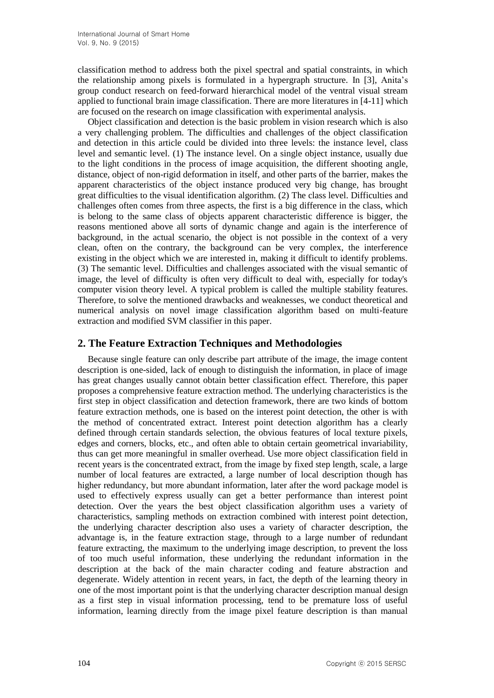classification method to address both the pixel spectral and spatial constraints, in which the relationship among pixels is formulated in a hypergraph structure. In [3], Anita's group conduct research on feed-forward hierarchical model of the ventral visual stream applied to functional brain image classification. There are more literatures in [4-11] which are focused on the research on image classification with experimental analysis.

Object classification and detection is the basic problem in vision research which is also a very challenging problem. The difficulties and challenges of the object classification and detection in this article could be divided into three levels: the instance level, class level and semantic level. (1) The instance level. On a single object instance, usually due to the light conditions in the process of image acquisition, the different shooting angle, distance, object of non-rigid deformation in itself, and other parts of the barrier, makes the apparent characteristics of the object instance produced very big change, has brought great difficulties to the visual identification algorithm. (2) The class level. Difficulties and challenges often comes from three aspects, the first is a big difference in the class, which is belong to the same class of objects apparent characteristic difference is bigger, the reasons mentioned above all sorts of dynamic change and again is the interference of background, in the actual scenario, the object is not possible in the context of a very clean, often on the contrary, the background can be very complex, the interference existing in the object which we are interested in, making it difficult to identify problems. (3) The semantic level. Difficulties and challenges associated with the visual semantic of image, the level of difficulty is often very difficult to deal with, especially for today's computer vision theory level. A typical problem is called the multiple stability features. Therefore, to solve the mentioned drawbacks and weaknesses, we conduct theoretical and numerical analysis on novel image classification algorithm based on multi-feature extraction and modified SVM classifier in this paper.

# **2. The Feature Extraction Techniques and Methodologies**

Because single feature can only describe part attribute of the image, the image content description is one-sided, lack of enough to distinguish the information, in place of image has great changes usually cannot obtain better classification effect. Therefore, this paper proposes a comprehensive feature extraction method. The underlying characteristics is the first step in object classification and detection framework, there are two kinds of bottom feature extraction methods, one is based on the interest point detection, the other is with the method of concentrated extract. Interest point detection algorithm has a clearly defined through certain standards selection, the obvious features of local texture pixels, edges and corners, blocks, etc., and often able to obtain certain geometrical invariability, thus can get more meaningful in smaller overhead. Use more object classification field in recent years is the concentrated extract, from the image by fixed step length, scale, a large number of local features are extracted, a large number of local description though has higher redundancy, but more abundant information, later after the word package model is used to effectively express usually can get a better performance than interest point detection. Over the years the best object classification algorithm uses a variety of characteristics, sampling methods on extraction combined with interest point detection, the underlying character description also uses a variety of character description, the advantage is, in the feature extraction stage, through to a large number of redundant feature extracting, the maximum to the underlying image description, to prevent the loss of too much useful information, these underlying the redundant information in the description at the back of the main character coding and feature abstraction and degenerate. Widely attention in recent years, in fact, the depth of the learning theory in one of the most important point is that the underlying character description manual design as a first step in visual information processing, tend to be premature loss of useful information, learning directly from the image pixel feature description is than manual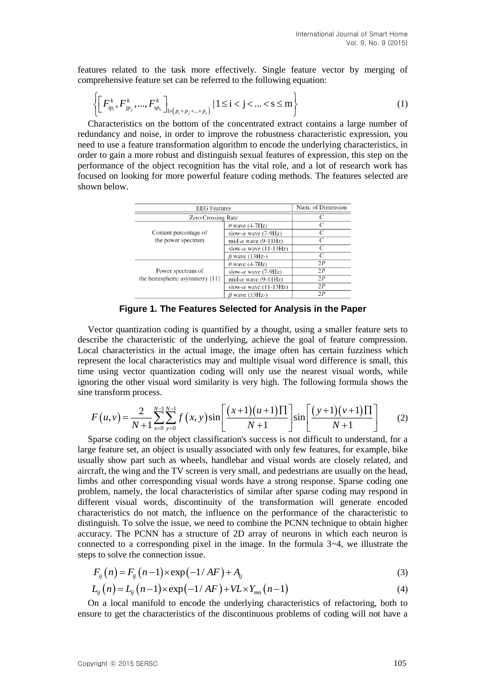features related to the task more effectively. Single feature vector by merging of comprehensive feature set can be referred to the following equation:

$$
\left\{ \left[ F_{ip_i}^k, F_{jp_j}^k, ..., F_{sp_s}^k \right]_{1 \times (p_i + p_j + ... + p_s)} \mid 1 \le i < j < ... < s \le m \right\}
$$
 (1)

Characteristics on the bottom of the concentrated extract contains a large number of redundancy and noise, in order to improve the robustness characteristic expression, you need to use a feature transformation algorithm to encode the underlying characteristics, in order to gain a more robust and distinguish sexual features of expression, this step on the performance of the object recognition has the vital role, and a lot of research work has focused on looking for more powerful feature coding methods. The features selected are shown below.

| <b>EEG</b> Features                         |                               | Num. of Dimension |
|---------------------------------------------|-------------------------------|-------------------|
| <b>Zero Crossing Rate</b>                   |                               |                   |
|                                             | $\theta$ wave (4-7Hz)         | C                 |
| Content percentage of<br>the power spectrum | slow- $\alpha$ wave (7-9Hz)   |                   |
|                                             | mid- $\alpha$ wave (9-11Hz)   |                   |
|                                             | slow- $\alpha$ wave (11-13Hz) | C                 |
|                                             | $\beta$ wave (13Hz-)          |                   |
|                                             | $\theta$ wave (4-7Hz)         | 2P                |
| Power spectrum of                           | slow- $\alpha$ wave (7-9Hz)   | 2P                |
| the hemispheric asymmetry $[11]$            | mid- $\alpha$ wave (9-11Hz)   | 2P                |
|                                             | slow- $\alpha$ wave (11-13Hz) | 2P                |
|                                             | $\beta$ wave (13Hz-)          | 2P                |

**Figure 1. The Features Selected for Analysis in the Paper**

Vector quantization coding is quantified by a thought, using a smaller feature sets to describe the characteristic of the underlying, achieve the goal of feature compression. Local characteristics in the actual image, the image often has certain fuzziness which represent the local characteristics may and multiple visual word difference is small, this time using vector quantization coding will only use the nearest visual words, while ignoring the other visual word similarity is very high. The following formula shows the sine transform process.

$$
F(u,v) = \frac{2}{N+1} \sum_{x=0}^{N-1} \sum_{y=0}^{N-1} f(x,y) \sin\left[\frac{(x+1)(u+1)\Pi}{N+1}\right] \sin\left[\frac{(y+1)(v+1)\Pi}{N+1}\right] \tag{2}
$$

Sparse coding on the object classification's success is not difficult to understand, for a large feature set, an object is usually associated with only few features, for example, bike usually show part such as wheels, handlebar and visual words are closely related, and aircraft, the wing and the TV screen is very small, and pedestrians are usually on the head, limbs and other corresponding visual words have a strong response. Sparse coding one problem, namely, the local characteristics of similar after sparse coding may respond in different visual words, discontinuity of the transformation will generate encoded characteristics do not match, the influence on the performance of the characteristic to distinguish. To solve the issue, we need to combine the PCNN technique to obtain higher accuracy. The PCNN has a structure of 2D array of neurons in which each neuron is connected to a corresponding pixel in the image. In the formula  $3-4$ , we illustrate the steps to solve the connection issue.

$$
F_{ij}(n) = F_{ij}(n-1) \times \exp(-1/AF) + A_{ij}
$$
\n(3)

$$
F_{ij}(n) = F_{ij}(n-1) \times \exp(-1/AF) + A_{ij}
$$
  
\n
$$
L_{ij}(n) = L_{ij}(n-1) \times \exp(-1/AF) + VL \times Y_{mn}(n-1)
$$
\n(3)

On a local manifold to encode the underlying characteristics of refactoring, both to ensure to get the characteristics of the discontinuous problems of coding will not have a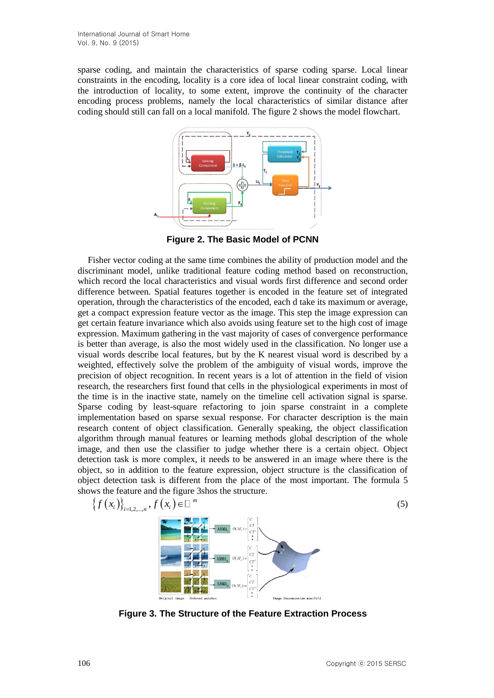sparse coding, and maintain the characteristics of sparse coding sparse. Local linear constraints in the encoding, locality is a core idea of local linear constraint coding, with the introduction of locality, to some extent, improve the continuity of the character encoding process problems, namely the local characteristics of similar distance after coding should still can fall on a local manifold. The figure 2 shows the model flowchart.



**Figure 2. The Basic Model of PCNN**

Fisher vector coding at the same time combines the ability of production model and the discriminant model, unlike traditional feature coding method based on reconstruction, which record the local characteristics and visual words first difference and second order difference between. Spatial features together is encoded in the feature set of integrated operation, through the characteristics of the encoded, each d take its maximum or average, get a compact expression feature vector as the image. This step the image expression can get certain feature invariance which also avoids using feature set to the high cost of image expression. Maximum gathering in the vast majority of cases of convergence performance is better than average, is also the most widely used in the classification. No longer use a visual words describe local features, but by the K nearest visual word is described by a weighted, effectively solve the problem of the ambiguity of visual words, improve the precision of object recognition. In recent years is a lot of attention in the field of vision research, the researchers first found that cells in the physiological experiments in most of the time is in the inactive state, namely on the timeline cell activation signal is sparse. Sparse coding by least-square refactoring to join sparse constraint in a complete implementation based on sparse sexual response. For character description is the main research content of object classification. Generally speaking, the object classification algorithm through manual features or learning methods global description of the whole image, and then use the classifier to judge whether there is a certain object. Object detection task is more complex, it needs to be answered in an image where there is the object, so in addition to the feature expression, object structure is the classification of object detection task is different from the place of the most important. The formula 5 shows the feature and the figure 3shos the structure.

$$
\left\{f(x_i)\right\}_{i=1,2,\ldots,n}, f(x_i) \in \square
$$
\n
$$
\begin{array}{ccc}\n\vdots & \vdots & \vdots \\
\hline\n\vdots & \vdots & \vdots \\
\hline\n\vdots & \vdots & \vdots \\
\hline\n\vdots & \vdots & \vdots \\
\hline\n\vdots & \vdots & \vdots \\
\hline\n\vdots & \vdots & \vdots \\
\hline\n\vdots & \vdots & \vdots \\
\hline\n\vdots & \vdots & \vdots \\
\hline\n\vdots & \vdots & \vdots \\
\hline\n\vdots & \vdots & \vdots \\
\hline\n\vdots & \vdots & \vdots \\
\hline\n\vdots & \vdots & \vdots \\
\hline\n\vdots & \vdots & \vdots \\
\hline\n\vdots & \vdots & \vdots \\
\hline\n\vdots & \vdots & \vdots \\
\hline\n\vdots & \vdots & \vdots \\
\hline\n\vdots & \vdots & \vdots \\
\hline\n\vdots & \vdots & \vdots \\
\hline\n\vdots & \vdots & \vdots \\
\hline\n\vdots & \vdots & \vdots \\
\hline\n\vdots & \vdots & \vdots \\
\hline\n\vdots & \vdots & \vdots \\
\hline\n\vdots & \vdots & \vdots \\
\hline\n\vdots & \vdots & \vdots \\
\hline\n\vdots & \vdots & \vdots \\
\hline\n\vdots & \vdots & \vdots \\
\hline\n\vdots & \vdots & \vdots \\
\hline\n\vdots & \vdots & \vdots \\
\hline\n\vdots & \vdots & \vdots \\
\hline\n\vdots & \vdots & \vdots \\
\hline\n\vdots & \vdots & \vdots \\
\hline\n\vdots & \vdots & \vdots \\
\hline\n\vdots & \vdots & \vdots \\
\hline\n\vdots & \vdots & \vdots \\
\hline\n\vdots & \vdots & \vdots \\
\hline\n\vdots & \vdots & \vdots & \vdots \\
\hline\n\vdots & \vdots & \vdots & \vdots \\
\hline\n\vdots & \vdots & \vdots & \vdots \\
\hline\n\vdots & \vdots & \vdots & \vdots \\
\hline\n\vdots & \vdots & \vdots & \vdots \\
\hline\n\vdots & \vdots & \vdots & \vdots \\
\hline\n\vdots & \vdots & \vdots & \vdots \\
\hline\n\vdots & \vdots & \vdots & \vd
$$

**Figure 3. The Structure of the Feature Extraction Process**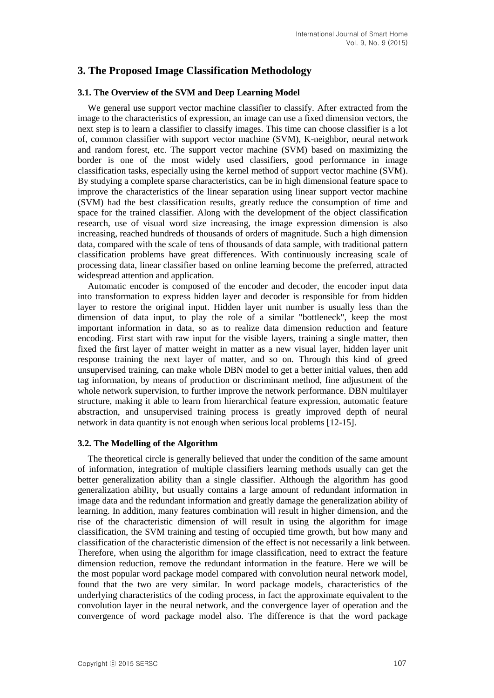# **3. The Proposed Image Classification Methodology**

#### **3.1. The Overview of the SVM and Deep Learning Model**

We general use support vector machine classifier to classify. After extracted from the image to the characteristics of expression, an image can use a fixed dimension vectors, the next step is to learn a classifier to classify images. This time can choose classifier is a lot of, common classifier with support vector machine (SVM), K-neighbor, neural network and random forest, etc. The support vector machine (SVM) based on maximizing the border is one of the most widely used classifiers, good performance in image classification tasks, especially using the kernel method of support vector machine (SVM). By studying a complete sparse characteristics, can be in high dimensional feature space to improve the characteristics of the linear separation using linear support vector machine (SVM) had the best classification results, greatly reduce the consumption of time and space for the trained classifier. Along with the development of the object classification research, use of visual word size increasing, the image expression dimension is also increasing, reached hundreds of thousands of orders of magnitude. Such a high dimension data, compared with the scale of tens of thousands of data sample, with traditional pattern classification problems have great differences. With continuously increasing scale of processing data, linear classifier based on online learning become the preferred, attracted widespread attention and application.

Automatic encoder is composed of the encoder and decoder, the encoder input data into transformation to express hidden layer and decoder is responsible for from hidden layer to restore the original input. Hidden layer unit number is usually less than the dimension of data input, to play the role of a similar "bottleneck", keep the most important information in data, so as to realize data dimension reduction and feature encoding. First start with raw input for the visible layers, training a single matter, then fixed the first layer of matter weight in matter as a new visual layer, hidden layer unit response training the next layer of matter, and so on. Through this kind of greed unsupervised training, can make whole DBN model to get a better initial values, then add tag information, by means of production or discriminant method, fine adjustment of the whole network supervision, to further improve the network performance. DBN multilayer structure, making it able to learn from hierarchical feature expression, automatic feature abstraction, and unsupervised training process is greatly improved depth of neural network in data quantity is not enough when serious local problems [12-15].

#### **3.2. The Modelling of the Algorithm**

The theoretical circle is generally believed that under the condition of the same amount of information, integration of multiple classifiers learning methods usually can get the better generalization ability than a single classifier. Although the algorithm has good generalization ability, but usually contains a large amount of redundant information in image data and the redundant information and greatly damage the generalization ability of learning. In addition, many features combination will result in higher dimension, and the rise of the characteristic dimension of will result in using the algorithm for image classification, the SVM training and testing of occupied time growth, but how many and classification of the characteristic dimension of the effect is not necessarily a link between. Therefore, when using the algorithm for image classification, need to extract the feature dimension reduction, remove the redundant information in the feature. Here we will be the most popular word package model compared with convolution neural network model, found that the two are very similar. In word package models, characteristics of the underlying characteristics of the coding process, in fact the approximate equivalent to the convolution layer in the neural network, and the convergence layer of operation and the convergence of word package model also. The difference is that the word package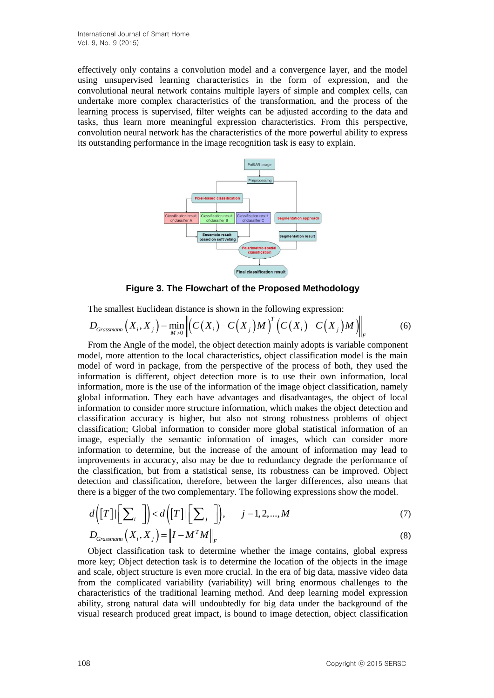effectively only contains a convolution model and a convergence layer, and the model using unsupervised learning characteristics in the form of expression, and the convolutional neural network contains multiple layers of simple and complex cells, can undertake more complex characteristics of the transformation, and the process of the learning process is supervised, filter weights can be adjusted according to the data and tasks, thus learn more meaningful expression characteristics. From this perspective, convolution neural network has the characteristics of the more powerful ability to express its outstanding performance in the image recognition task is easy to explain.



**Figure 3. The Flowchart of the Proposed Methodology**

The smallest Euclidean distance is shown in the following expression:

$$
D_{Grassmann}\left(X_i, X_j\right) = \min_{M>0} \left\| \left(C(X_i) - C(X_j)M\right)^T \left(C(X_i) - C(X_j)M\right) \right\|_F \tag{6}
$$

From the Angle of the model, the object detection mainly adopts is variable component model, more attention to the local characteristics, object classification model is the main model of word in package, from the perspective of the process of both, they used the information is different, object detection more is to use their own information, local information, more is the use of the information of the image object classification, namely global information. They each have advantages and disadvantages, the object of local information to consider more structure information, which makes the object detection and classification accuracy is higher, but also not strong robustness problems of object classification; Global information to consider more global statistical information of an image, especially the semantic information of images, which can consider more information to determine, but the increase of the amount of information may lead to improvements in accuracy, also may be due to redundancy degrade the performance of the classification, but from a statistical sense, its robustness can be improved. Object detection and classification, therefore, between the larger differences, also means that there is a bigger of the two complementary. The following expressions show the model.

$$
d\left(\left[T\right]|\left[\sum_{i}\right]\right)< d\left(\left[T\right]|\left[\sum_{j}\right]\right), \quad j=1,2,...,M
$$
\n
$$
D_{Grassmann}\left(X_{i}, X_{j}\right) = \left\|I - M^{T} M\right\|_{F}
$$
\n(8)

Object classification task to determine whether the image contains, global express more key; Object detection task is to determine the location of the objects in the image and scale, object structure is even more crucial. In the era of big data, massive video data from the complicated variability (variability) will bring enormous challenges to the characteristics of the traditional learning method. And deep learning model expression ability, strong natural data will undoubtedly for big data under the background of the visual research produced great impact, is bound to image detection, object classification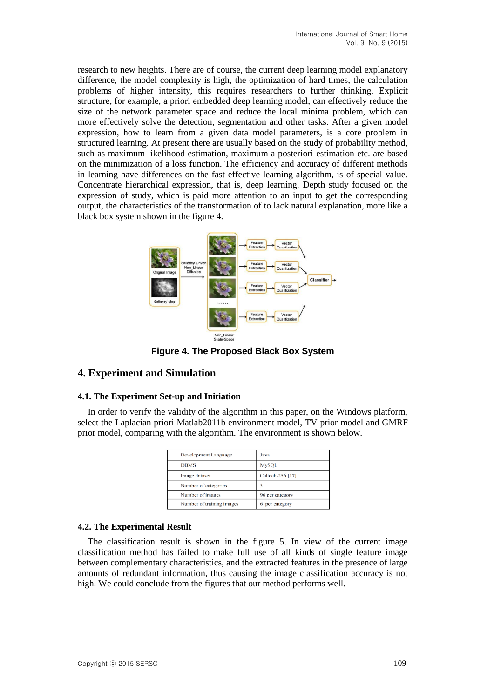research to new heights. There are of course, the current deep learning model explanatory difference, the model complexity is high, the optimization of hard times, the calculation problems of higher intensity, this requires researchers to further thinking. Explicit structure, for example, a priori embedded deep learning model, can effectively reduce the size of the network parameter space and reduce the local minima problem, which can more effectively solve the detection, segmentation and other tasks. After a given model expression, how to learn from a given data model parameters, is a core problem in structured learning. At present there are usually based on the study of probability method, such as maximum likelihood estimation, maximum a posteriori estimation etc. are based on the minimization of a loss function. The efficiency and accuracy of different methods in learning have differences on the fast effective learning algorithm, is of special value. Concentrate hierarchical expression, that is, deep learning. Depth study focused on the expression of study, which is paid more attention to an input to get the corresponding output, the characteristics of the transformation of to lack natural explanation, more like a black box system shown in the figure 4.



**Figure 4. The Proposed Black Box System**

# **4. Experiment and Simulation**

## **4.1. The Experiment Set-up and Initiation**

In order to verify the validity of the algorithm in this paper, on the Windows platform, select the Laplacian priori Matlab2011b environment model, TV prior model and GMRF prior model, comparing with the algorithm. The environment is shown below.

| Development Language      | Java              |
|---------------------------|-------------------|
| <b>DBMS</b>               | <b>MySQL</b>      |
| Image dataset             | Caltech-256 [17]  |
| Number of categories      |                   |
| Number of images          | 96 per category   |
| Number of training images | per category<br>6 |

## **4.2. The Experimental Result**

The classification result is shown in the figure 5. In view of the current image classification method has failed to make full use of all kinds of single feature image between complementary characteristics, and the extracted features in the presence of large amounts of redundant information, thus causing the image classification accuracy is not high. We could conclude from the figures that our method performs well.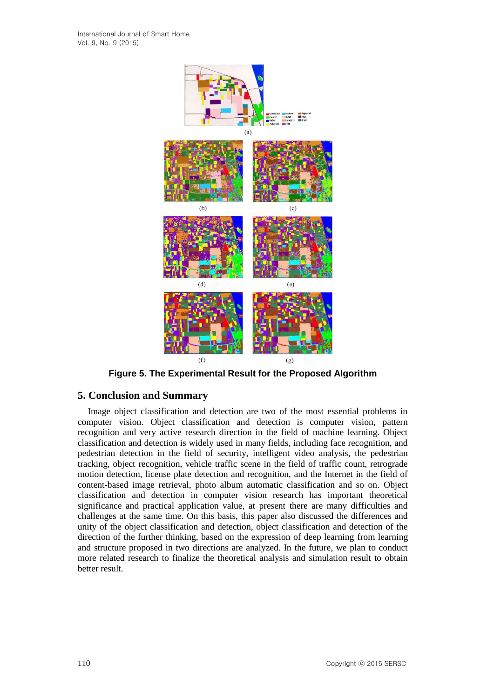

**Figure 5. The Experimental Result for the Proposed Algorithm**

# **5. Conclusion and Summary**

Image object classification and detection are two of the most essential problems in computer vision. Object classification and detection is computer vision, pattern recognition and very active research direction in the field of machine learning. Object classification and detection is widely used in many fields, including face recognition, and pedestrian detection in the field of security, intelligent video analysis, the pedestrian tracking, object recognition, vehicle traffic scene in the field of traffic count, retrograde motion detection, license plate detection and recognition, and the Internet in the field of content-based image retrieval, photo album automatic classification and so on. Object classification and detection in computer vision research has important theoretical significance and practical application value, at present there are many difficulties and challenges at the same time. On this basis, this paper also discussed the differences and unity of the object classification and detection, object classification and detection of the direction of the further thinking, based on the expression of deep learning from learning and structure proposed in two directions are analyzed. In the future, we plan to conduct more related research to finalize the theoretical analysis and simulation result to obtain better result.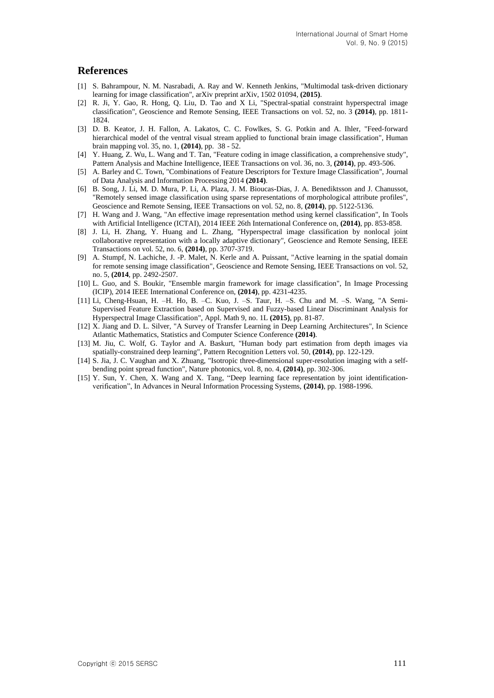## **References**

- [1] S. Bahrampour, N. M. Nasrabadi, A. Ray and W. Kenneth Jenkins, "Multimodal task-driven dictionary learning for image classification", arXiv preprint arXiv, 1502 01094, **(2015)**.
- [2] R. Ji, Y. Gao, R. Hong, Q. Liu, D. Tao and X Li, "Spectral-spatial constraint hyperspectral image classification", Geoscience and Remote Sensing, IEEE Transactions on vol. 52, no. 3 **(2014)**, pp. 1811- 1824.
- [3] D. B. Keator, J. H. Fallon, A. Lakatos, C. C. Fowlkes, S. G. Potkin and A. Ihler, "Feed-forward hierarchical model of the ventral visual stream applied to functional brain image classification", Human brain mapping vol. 35, no. 1, **(2014)**, pp. 38 - 52.
- [4] Y. Huang, Z. Wu, L. Wang and T. Tan, "Feature coding in image classification, a comprehensive study", Pattern Analysis and Machine Intelligence, IEEE Transactions on vol. 36, no. 3, **(2014)**, pp. 493-506.
- [5] A. Barley and C. Town, "Combinations of Feature Descriptors for Texture Image Classification", Journal of Data Analysis and Information Processing 2014 **(2014)**.
- [6] B. Song, J. Li, M. D. Mura, P. Li, A. Plaza, J. M. Bioucas-Dias, J. A. Benediktsson and J. Chanussot, "Remotely sensed image classification using sparse representations of morphological attribute profiles", Geoscience and Remote Sensing, IEEE Transactions on vol. 52, no. 8, **(2014)**, pp. 5122-5136.
- [7] H. Wang and J. Wang, "An effective image representation method using kernel classification", In Tools with Artificial Intelligence (ICTAI), 2014 IEEE 26th International Conference on, **(2014)**, pp. 853-858.
- [8] J. Li, H. Zhang, Y. Huang and L. Zhang, "Hyperspectral image classification by nonlocal joint collaborative representation with a locally adaptive dictionary", Geoscience and Remote Sensing, IEEE Transactions on vol. 52, no. 6, **(2014)**, pp. 3707-3719.
- [9] A. Stumpf, N. Lachiche, J. -P. Malet, N. Kerle and A. Puissant, "Active learning in the spatial domain for remote sensing image classification", Geoscience and Remote Sensing, IEEE Transactions on vol. 52, no. 5, **(2014**, pp. 2492-2507.
- [10] L. Guo, and S. Boukir, "Ensemble margin framework for image classification", In Image Processing (ICIP), 2014 IEEE International Conference on, **(2014)**, pp. 4231-4235.
- [11] Li, Cheng-Hsuan, H. –H. Ho, B. –C. Kuo, J. –S. Taur, H. –S. Chu and M. –S. Wang, "A Semi-Supervised Feature Extraction based on Supervised and Fuzzy-based Linear Discriminant Analysis for Hyperspectral Image Classification", Appl. Math 9, no. 1L **(2015)**, pp. 81-87.
- [12] X. Jiang and D. L. Silver, "A Survey of Transfer Learning in Deep Learning Architectures", In Science Atlantic Mathematics, Statistics and Computer Science Conference **(2014)**.
- [13] M. Jiu, C. Wolf, G. Taylor and A. Baskurt, "Human body part estimation from depth images via spatially-constrained deep learning", Pattern Recognition Letters vol. 50, **(2014)**, pp. 122-129.
- [14] S. Jia, J. C. Vaughan and X. Zhuang, "Isotropic three-dimensional super-resolution imaging with a selfbending point spread function", Nature photonics, vol. 8, no. 4, **(2014)**, pp. 302-306.
- [15] Y. Sun, Y. Chen, X. Wang and X. Tang, "Deep learning face representation by joint identificationverification", In Advances in Neural Information Processing Systems, **(2014)**, pp. 1988-1996.